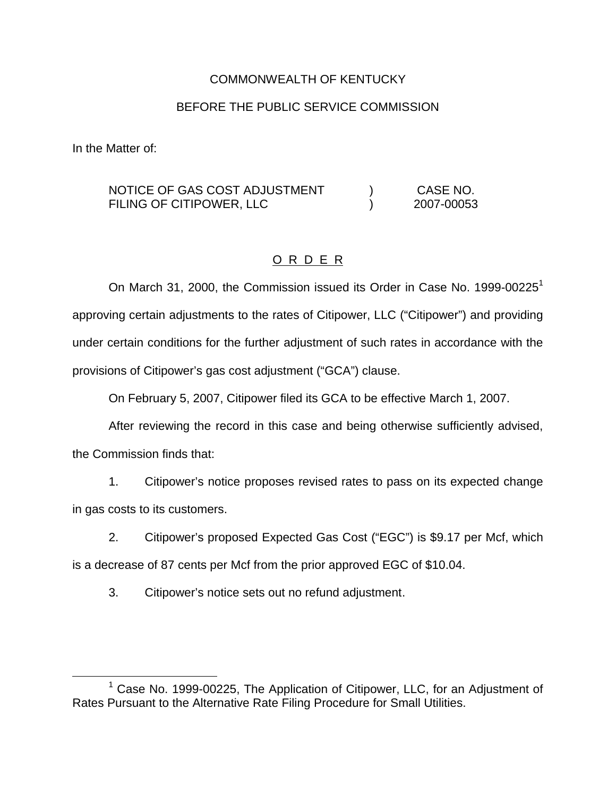# COMMONWEALTH OF KENTUCKY

# BEFORE THE PUBLIC SERVICE COMMISSION

In the Matter of:

#### NOTICE OF GAS COST ADJUSTMENT FILING OF CITIPOWER, LLC ) CASE NO. ) 2007-00053

# O R D E R

On March 31, 2000, the Commission issued its Order in Case No. 1999-00225<sup>1</sup> approving certain adjustments to the rates of Citipower, LLC ("Citipower") and providing under certain conditions for the further adjustment of such rates in accordance with the provisions of Citipower's gas cost adjustment ("GCA") clause.

On February 5, 2007, Citipower filed its GCA to be effective March 1, 2007.

After reviewing the record in this case and being otherwise sufficiently advised,

the Commission finds that:

1. Citipower's notice proposes revised rates to pass on its expected change in gas costs to its customers.

2. Citipower's proposed Expected Gas Cost ("EGC") is \$9.17 per Mcf, which

is a decrease of 87 cents per Mcf from the prior approved EGC of \$10.04.

3. Citipower's notice sets out no refund adjustment.

<sup>&</sup>lt;sup>1</sup> Case No. 1999-00225, The Application of Citipower, LLC, for an Adjustment of Rates Pursuant to the Alternative Rate Filing Procedure for Small Utilities.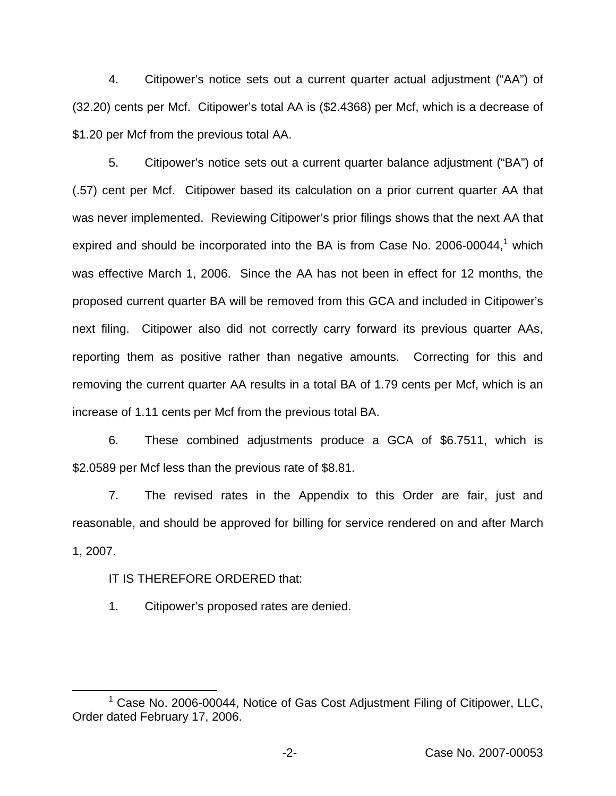4. Citipower's notice sets out a current quarter actual adjustment ("AA") of (32.20) cents per Mcf. Citipower's total AA is (\$2.4368) per Mcf, which is a decrease of \$1.20 per Mcf from the previous total AA.

5. Citipower's notice sets out a current quarter balance adjustment ("BA") of (.57) cent per Mcf. Citipower based its calculation on a prior current quarter AA that was never implemented. Reviewing Citipower's prior filings shows that the next AA that expired and should be incorporated into the BA is from Case No. 2006-00044, $<sup>1</sup>$  which</sup> was effective March 1, 2006. Since the AA has not been in effect for 12 months, the proposed current quarter BA will be removed from this GCA and included in Citipower's next filing. Citipower also did not correctly carry forward its previous quarter AAs, reporting them as positive rather than negative amounts. Correcting for this and removing the current quarter AA results in a total BA of 1.79 cents per Mcf, which is an increase of 1.11 cents per Mcf from the previous total BA.

6. These combined adjustments produce a GCA of \$6.7511, which is \$2.0589 per Mcf less than the previous rate of \$8.81.

7. The revised rates in the Appendix to this Order are fair, just and reasonable, and should be approved for billing for service rendered on and after March 1, 2007.

### IT IS THEREFORE ORDERED that:

1. Citipower's proposed rates are denied.

 $1$  Case No. 2006-00044, Notice of Gas Cost Adjustment Filing of Citipower, LLC, Order dated February 17, 2006.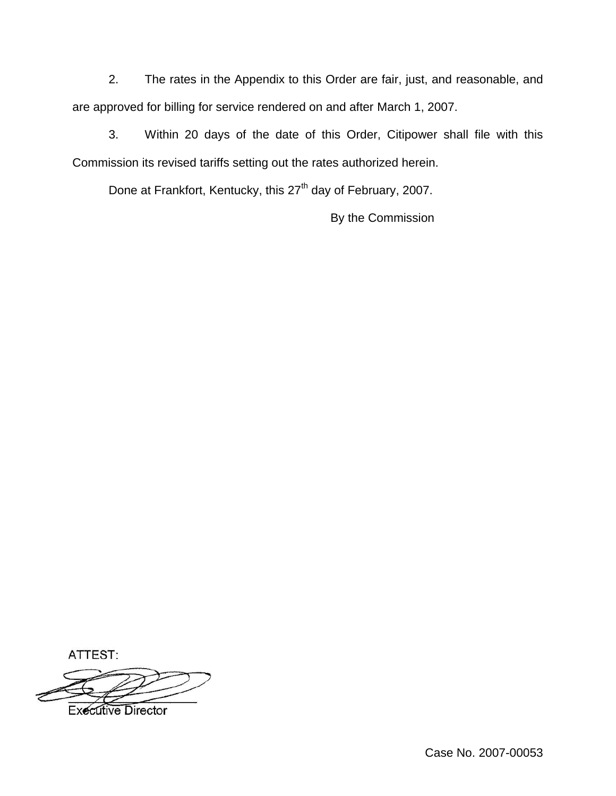2. The rates in the Appendix to this Order are fair, just, and reasonable, and are approved for billing for service rendered on and after March 1, 2007.

3. Within 20 days of the date of this Order, Citipower shall file with this Commission its revised tariffs setting out the rates authorized herein.

Done at Frankfort, Kentucky, this 27<sup>th</sup> day of February, 2007.

By the Commission

ATTEST:



**Executive Director**